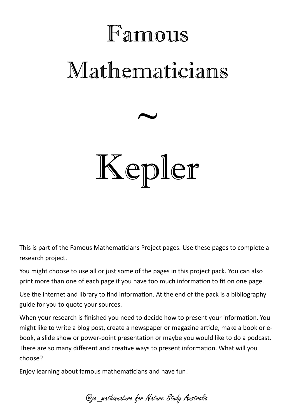## Famous Mathematicians



## Kepler

This is part of the Famous Mathematicians Project pages. Use these pages to complete a research project.

You might choose to use all or just some of the pages in this project pack. You can also print more than one of each page if you have too much information to fit on one page.

Use the internet and library to find information. At the end of the pack is a bibliography guide for you to quote your sources.

When your research is finished you need to decide how to present your information. You might like to write a blog post, create a newspaper or magazine article, make a book or ebook, a slide show or power-point presentation or maybe you would like to do a podcast. There are so many different and creative ways to present information. What will you choose?

Enjoy learning about famous mathematicians and have fun!

@jo\_mathinnature for Nature Study Australia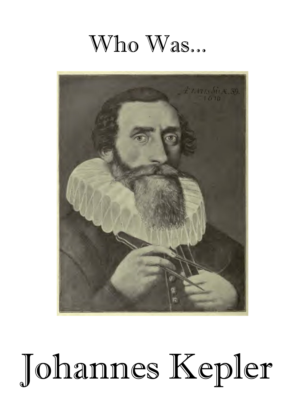### Who Was...



# Johannes Kepler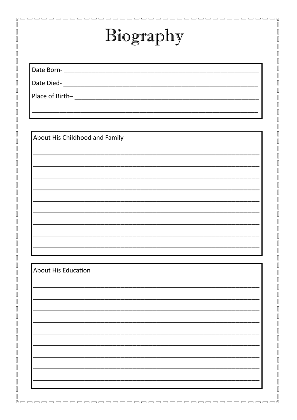### Biography

 $\begin{bmatrix} 1 \\ 2 \end{bmatrix}$ 

 $\begin{bmatrix} \phantom{-} \end{bmatrix}$ 

 $\begin{array}{c} \hline \end{array}$ 

 $\overline{\mathbb{I}}$ 

П

 $\sqrt{2}$ 

П

 $\overline{\mathbb{I}}$ 

 $\overline{\mathbb{I}}$ 

 $\sqrt{2}$ 

 $\sqrt{2}$ 

 $\overline{\mathbb{I}}$ 

П

 $\overline{\mathbb{I}}$ 

 $\sqrt{2}$ 

 $\sqrt{2}$ 

 $\overline{\mathbb{I}}$ 

 $\overline{\mathbb{I}}$ 

 $\overline{\mathbb{I}}$ 

 $\overline{\mathbb{I}}$ 

 $\sqrt{2}$ 

 $\sqrt{2}$ 

 $\overline{\mathbb{I}}$ 

 $\overline{\mathbb{I}}$ 

Π

 $\sqrt{2}$ 

 $\sqrt{2}$ 

 $\sqrt{2}$ 

 $\overline{\mathbb{I}}$ 

 $\sqrt{2}$ 

Π

П

 $\overline{\mathbb{I}}$ 

 $\overline{\Pi}$ 

 $\overline{\mathbb{I}}$ 

 $\sqrt{2}$ 

 $\overline{\mathbb{I}}$ 

 $\overline{\mathbb{I}}$ 

 $\overline{\mathbb{I}}$ 

 $\overline{\Pi}$ 

 $\sqrt{2}$ 

 $\overline{\mathbb{I}}$ 

 $\overline{\mathbb{I}}$ 

 $\overline{\Pi}$ 

 $\overline{\mathbb{I}}$ 

 $\overline{\Pi}$ 

 $\begin{array}{c} \hline \end{array}$ 

 $\overline{\mathbb{I}}$ 

 $\overline{\mathbb{I}}$ 

 $\sqrt{2}$ 

 $\overline{\mathbb{P}}^{\mathbb{C}}$ 

 $\begin{bmatrix} 1 \\ 1 \end{bmatrix}$ 

 $\begin{bmatrix} 1 \\ 1 \end{bmatrix}$ 

 $\begin{array}{c} \hline \end{array}$ 

 $\begin{array}{c} \hline \end{array}$ 

About His Childhood and Family

Date Died-

#### **About His Education**

 $\sqrt{ }$  $\begin{bmatrix} 1 \\ 1 \end{bmatrix}$  $\begin{bmatrix} 1 \\ 1 \end{bmatrix}$  $\begin{array}{c} \hline \end{array}$  $\begin{bmatrix} 1 \\ 2 \end{bmatrix}$  $\begin{bmatrix} 1 \\ 1 \end{bmatrix}$  $\begin{bmatrix} 1 \\ 2 \end{bmatrix}$  $\begin{bmatrix} 1 \\ 2 \end{bmatrix}$  $\begin{array}{c} \hline \end{array}$  $\overline{\mathbb{I}}$  $\begin{bmatrix} \phantom{-} \end{bmatrix}$  $\begin{bmatrix} 1 \\ 2 \end{bmatrix}$  $\begin{bmatrix} 1 \\ 2 \end{bmatrix}$  $\begin{bmatrix} 1 \\ 2 \end{bmatrix}$  $\begin{bmatrix} 1 \\ 2 \end{bmatrix}$  $\begin{array}{c} \hline \end{array}$  $\begin{bmatrix} 1 \\ 1 \end{bmatrix}$  $\begin{array}{c} \hline \end{array}$  $\begin{bmatrix} 1 \\ 2 \end{bmatrix}$  $\mathbb{R}$  $\begin{bmatrix} 1 \\ 1 \end{bmatrix}$  $\begin{bmatrix} 1 \\ 2 \end{bmatrix}$  $\begin{bmatrix} 1 \\ 2 \end{bmatrix}$  $\begin{bmatrix} 1 \\ 2 \end{bmatrix}$  $\hfill\Box$  $\begin{array}{c} \hline \end{array}$  $\begin{bmatrix} 1 \\ 1 \end{bmatrix}$  $\begin{bmatrix} 1 \\ 1 \end{bmatrix}$  $\begin{bmatrix} 1 \\ 2 \end{bmatrix}$  $\begin{array}{c} \hline \end{array}$  $\overline{\mathbb{I}}$  $\begin{bmatrix} 1 \\ 2 \end{bmatrix}$  $\begin{bmatrix} 1 \\ 2 \end{bmatrix}$  $\begin{bmatrix} 1 \\ 2 \end{bmatrix}$  $\begin{bmatrix} 1 \\ 1 \end{bmatrix}$  $\begin{array}{c} \hline \end{array}$  $\hfill\Box$  $\begin{array}{c} \hline \end{array}$  $\begin{bmatrix} 1 \\ 2 \end{bmatrix}$  $\begin{bmatrix} 1 \\ 2 \end{bmatrix}$  $\begin{bmatrix} 1 \\ 2 \end{bmatrix}$  $\begin{bmatrix} 1 \\ 2 \end{bmatrix}$  $\hfill\Box$  $\begin{array}{c} \hline \end{array}$  $\begin{bmatrix} \phantom{-} \end{bmatrix}$  $\begin{bmatrix} 1 \\ 2 \end{bmatrix}$  $\overline{\mathbb{R}}$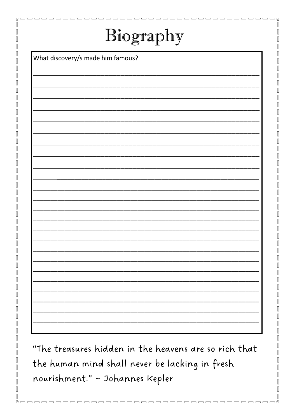### Biography

51

 $\begin{bmatrix} \phantom{-} \end{bmatrix}$ 

 $\begin{array}{c} \hline \end{array}$ 

 $\overline{\mathbb{I}}$ 

Π

Π

П

 $\overline{\Pi}$ 

 $\overline{\mathbb{I}}$ 

П

 $\overline{\phantom{a}}$ 

П

П

What discovery/s made him famous?

"The treasures hidden in the heavens are so rich that the human mind shall never be lacking in fresh nourishment." ~ Johannes Kepler

, \_ \_ \_ \_ \_ \_ \_ \_ \_ \_ \_ \_ \_ \_ \_ \_

 $\Box$  $\begin{array}{c} \hline \end{array}$  $\begin{array}{c} \hline \end{array}$  $\begin{bmatrix} 1 \\ 1 \end{bmatrix}$  $\begin{array}{c} \hline \end{array}$  $\overline{\mathbb{R}}$  $\begin{bmatrix} 1 & 1 \\ 1 & 1 \end{bmatrix}$  $\begin{bmatrix} 1 \\ 2 \end{bmatrix}$  $\begin{bmatrix} 1 & 1 \\ 1 & 1 \end{bmatrix}$  $\begin{bmatrix} 1 \\ 2 \end{bmatrix}$  $\begin{bmatrix} \phantom{-} \end{bmatrix}$  $\begin{bmatrix} 1 \\ 1 \end{bmatrix}$  $\begin{bmatrix} 1 \\ 2 \end{bmatrix}$  $\begin{array}{c} \hline \end{array}$  $\begin{bmatrix} 1 \\ 1 \end{bmatrix}$  $\begin{array}{c} \hline \end{array}$  $\begin{bmatrix} 1 \\ 2 \end{bmatrix}$  $\begin{array}{c} \hline \end{array}$  $\begin{bmatrix} 1 \\ 2 \end{bmatrix}$  $\begin{array}{c} \hline \end{array}$  $\begin{bmatrix} 1 \\ 1 \end{bmatrix}$  $\hfill\Box$  $\begin{array}{c} \hline \end{array}$  $\begin{bmatrix} 1 \\ 2 \end{bmatrix}$  $\hfill\Box$  $\begin{array}{c} \hline \end{array}$  $\begin{bmatrix} 1 \\ 2 \end{bmatrix}$  $\begin{bmatrix} 1 \\ 2 \end{bmatrix}$  $\begin{bmatrix} 1 \\ 2 \end{bmatrix}$  $\begin{array}{c} \hline \end{array}$  $\hfill\Box$  $\begin{array}{c} \hline \end{array}$  $\begin{bmatrix} 1 \\ 2 \end{bmatrix}$  $\hfill\Box$  $\begin{bmatrix} 1 \\ 1 \end{bmatrix}$  $\begin{array}{c} \hline \end{array}$  $\begin{bmatrix} 1 \\ 1 \end{bmatrix}$  $\overline{\mathbb{R}}$  $\begin{array}{c} \hline \end{array}$  $\overline{\mathbb{I}}$  $\overline{\mathbb{R}}$  $\overline{\phantom{a}}$  $\sqrt{ }$  $\begin{array}{c} \hline \end{array}$  $\overline{\mathbb{I}}$  $\sqrt{ }$  $\overline{\mathbb{I}}$ 

. \_ \_ \_ \_ \_ \_ \_ \_ \_ \_ \_ \_ \_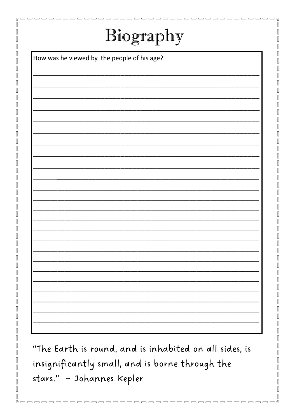| Biography |  |
|-----------|--|
|-----------|--|

 $\blacksquare \blacksquare \blacksquare \blacksquare$ 

пr

. . . . . . .

51

 $\begin{bmatrix} \phantom{-} \end{bmatrix}$  $\begin{bmatrix} \phantom{-} \end{bmatrix}$ 

 $\sqrt{ }$ 

 $\Box$ 

П

ſ

П

П

Π

 $\overline{\Pi}$ 

 $\sqrt{2}$ 

 $\overline{\Pi}$ 

 $\overline{\Pi}$ 

П

 $\overline{\phantom{a}}$ 

 $\overline{\Pi}$ 

П

П

How was he viewed by the people of his age?

"The Earth is round, and is inhabited on all sides, is insignificantly small, and is borne through the stars." ~ Johannes Kepler

--------

----------

 $\Box$ 

 $\Box$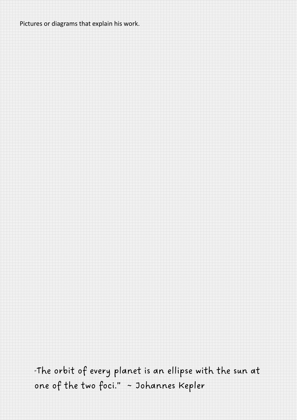#### Pictures or diagrams that explain his work.

"The orbit of every planet is an ellipse with the sun at one of the two foci." ~ Johannes Kepler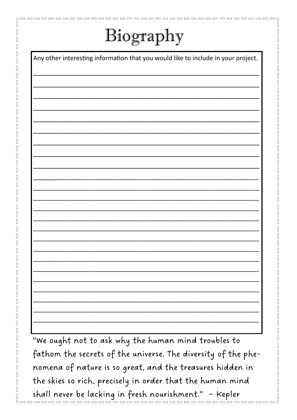### Biography

 $\begin{array}{c} \hline \end{array}$ 

 $\overline{\phantom{a}}$ 

 $\sqrt{ }$  $\sqrt{ }$  $\begin{array}{c} \hline \end{array}$  $\sqrt{ }$  $\begin{array}{c} \hline \end{array}$  $\sqrt{ }$  $\begin{array}{c} \hline \end{array}$  $\sqrt{ }$  $\sqrt{ }$  $\begin{array}{c} \hline \end{array}$  $\begin{array}{c} \hline \end{array}$  $\begin{array}{c} \hline \end{array}$  $\begin{array}{c} \hline \end{array}$  $\begin{array}{c} \hline \end{array}$  $\begin{array}{c} \hline \end{array}$  $\sqrt{ }$  $\sqrt{ }$  $\begin{array}{c} \hline \end{array}$  $\begin{bmatrix} 1 \\ 1 \end{bmatrix}$  $\Box$  $\begin{array}{c} \hline \end{array}$  $\sqrt{ }$  $\sqrt{ }$  $\sqrt{ }$  $\overline{\phantom{a}}$  $\begin{array}{c} \hline \end{array}$  $\sqrt{ }$  $\begin{bmatrix} \phantom{-} \end{bmatrix}$  $\sqrt{ }$  $\begin{array}{c} \hline \end{array}$  $\begin{bmatrix} \phantom{-} \end{bmatrix}$  $\overline{\mathbb{I}}$ 

 $\begin{bmatrix} \phantom{-} \end{bmatrix}$ 

 $\overline{\mathbb{I}}$ 

 $\sqrt{2}$ 

 $\sqrt{ }$  $\begin{array}{c} \hline \end{array}$ 

 $\overline{\mathbb{I}}$  $\overline{\phantom{a}}$  П

П

П

П

 $\overline{\mathbb{I}}$ 

Any other interesting information that you would like to include in your project.

"We ought not to ask why the human mind troubles to fathom the secrets of the universe. The diversity of the phenomena of nature is so great, and the treasures hidden in the skies so rich, precisely in order that the human mind shall never be lacking in fresh nourishment." ~ Kepler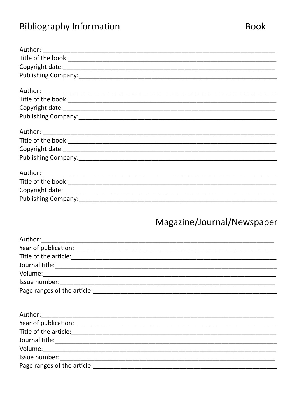### **Bibliography Information**

### Magazine/Journal/Newspaper

| Author:                                |  |
|----------------------------------------|--|
|                                        |  |
| Title of the article:                  |  |
| Journal title: <u>________________</u> |  |
| Volume: ____________________________   |  |
| Issue number: __________________       |  |
| Page ranges of the article:            |  |

| Author:_____________________________                                                                                                                                                                                           |  |
|--------------------------------------------------------------------------------------------------------------------------------------------------------------------------------------------------------------------------------|--|
| Year of publication:                                                                                                                                                                                                           |  |
| Title of the article:                                                                                                                                                                                                          |  |
| Journal title:                                                                                                                                                                                                                 |  |
| Volume: ______________                                                                                                                                                                                                         |  |
| Issue number: National Contract of the Contract of the Contract of the Contract of the Contract of the Contract of the Contract of the Contract of the Contract of the Contract of the Contract of the Contract of the Contrac |  |
| Page ranges of the article:                                                                                                                                                                                                    |  |